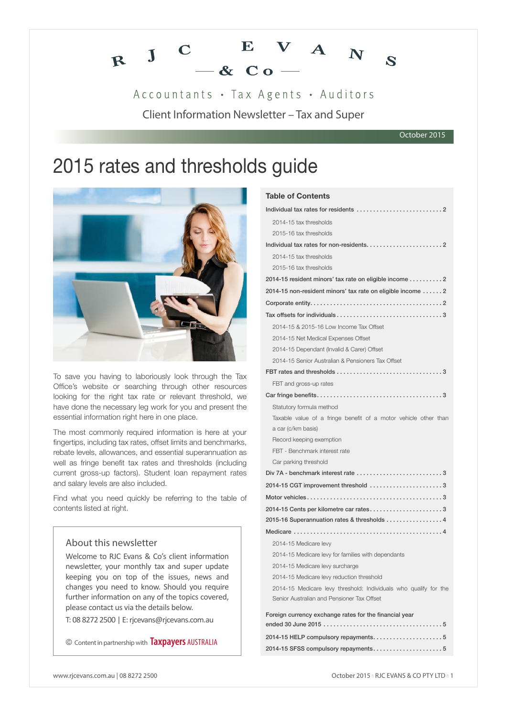

Accountants · Tax Agents · Auditors

Client Information Newsletter – Tax and Super

#### October 2015

# 2015 rates and thresholds guide



To save you having to laboriously look through the Tax Office's website or searching through other resources looking for the right tax rate or relevant threshold, we have done the necessary leg work for you and present the essential information right here in one place.

The most commonly required information is here at your fingertips, including tax rates, offset limits and benchmarks, rebate levels, allowances, and essential superannuation as well as fringe benefit tax rates and thresholds (including current gross-up factors). Student loan repayment rates and salary levels are also included.

Find what you need quickly be referring to the table of contents listed at right.

### About this newsletter

Welcome to RJC Evans & Co's client information newsletter, your monthly tax and super update keeping you on top of the issues, news and changes you need to know. Should you require further information on any of the topics covered, please contact us via the details below.

T: 08 8272 2500 | E: rjcevans@rjcevans.com.au

© Content in partnership with **Taxpayers** AUSTRALIA

| <b>Table of Contents</b>                                                                                       |
|----------------------------------------------------------------------------------------------------------------|
|                                                                                                                |
| 2014-15 tax thresholds                                                                                         |
| 2015-16 tax thresholds                                                                                         |
|                                                                                                                |
| 2014-15 tax thresholds                                                                                         |
| 2015-16 tax thresholds                                                                                         |
| 2014-15 resident minors' tax rate on eligible income 2                                                         |
| 2014-15 non-resident minors' tax rate on eligible income  2                                                    |
|                                                                                                                |
|                                                                                                                |
| 2014-15 & 2015-16 Low Income Tax Offset                                                                        |
| 2014-15 Net Medical Expenses Offset                                                                            |
| 2014-15 Dependant (Invalid & Carer) Offset                                                                     |
| 2014-15 Senior Australian & Pensioners Tax Offset                                                              |
|                                                                                                                |
| FBT and gross-up rates                                                                                         |
|                                                                                                                |
| Statutory formula method                                                                                       |
| Taxable value of a fringe benefit of a motor vehicle other than                                                |
| a car (c/km basis)                                                                                             |
| Record keeping exemption                                                                                       |
| FBT - Benchmark interest rate                                                                                  |
| Car parking threshold                                                                                          |
| Div 7A - benchmark interest rate 3                                                                             |
| 2014-15 CGT improvement threshold 3                                                                            |
|                                                                                                                |
| 2014-15 Cents per kilometre car rates3                                                                         |
| 2015-16 Superannuation rates & thresholds 4                                                                    |
|                                                                                                                |
| 2014-15 Medicare levy                                                                                          |
| 2014-15 Medicare levy for families with dependants                                                             |
| 2014-15 Medicare levy surcharge                                                                                |
| 2014-15 Medicare levy reduction threshold                                                                      |
| 2014-15 Medicare levy threshold: Individuals who qualify for the<br>Senior Australian and Pensioner Tax Offset |
|                                                                                                                |
| Foreign currency exchange rates for the financial year                                                         |
| 2014-15 HELP compulsory repayments5                                                                            |
| 2014-15 SFSS compulsory repayments5                                                                            |
|                                                                                                                |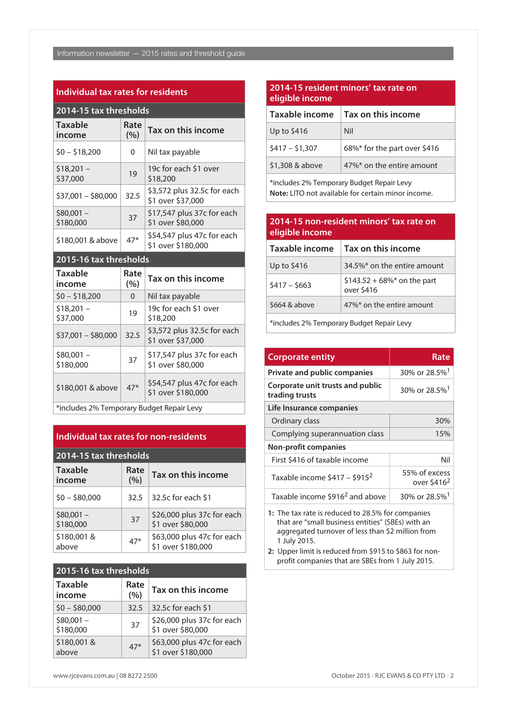#### **Individual tax rates for residents**

| 2014-15 tax thresholds   |             |                                                  |  |
|--------------------------|-------------|--------------------------------------------------|--|
| <b>Taxable</b><br>income | Rate<br>(%) | Tax on this income                               |  |
| $$0 - $18,200$           | 0           | Nil tax payable                                  |  |
| $$18,201 -$<br>\$37,000  | 19          | 19c for each \$1 over<br>\$18,200                |  |
| $$37,001 - $80,000$      | 32.5        | \$3,572 plus 32.5c for each<br>\$1 over \$37,000 |  |
| $$80,001 -$<br>\$180,000 | 37          | \$17,547 plus 37c for each<br>\$1 over \$80,000  |  |
| \$180,001 & above        | $47*$       | \$54,547 plus 47c for each<br>\$1 over \$180,000 |  |

# **2015-16 tax thresholds**

| <b>Taxable</b><br>income                  | Rate<br>(%) | Tax on this income                               |  |
|-------------------------------------------|-------------|--------------------------------------------------|--|
| $$0 - $18,200$                            | 0           | Nil tax payable                                  |  |
| $$18,201 -$<br>\$37,000                   | 19          | 19c for each \$1 over<br>\$18,200                |  |
| $$37,001 - $80,000$                       | 32.5        | \$3,572 plus 32.5c for each<br>\$1 over \$37,000 |  |
| $$80.001 -$<br>\$180,000                  | 37          | \$17,547 plus 37c for each<br>\$1 over \$80,000  |  |
| \$180,001 & above                         | $47*$       | \$54,547 plus 47c for each<br>\$1 over \$180,000 |  |
| tincludes 2% Temporary Rudget Repair Levy |             |                                                  |  |

 $\mid$  \*includes 2% Temporary Budget Repair Levy

# **Individual tax rates for non-residents**

| 2014-15 tax thresholds   |             |                                                  |  |
|--------------------------|-------------|--------------------------------------------------|--|
| <b>Taxable</b><br>income | Rate<br>(%) | Tax on this income                               |  |
| $$0 - $80,000$           | 32.5        | 32.5c for each \$1                               |  |
| $$80,001 -$<br>\$180,000 | 37          | \$26,000 plus 37c for each<br>\$1 over \$80,000  |  |
| \$180,001&<br>above      | $47*$       | \$63,000 plus 47c for each<br>\$1 over \$180,000 |  |

# **2015-16 tax thresholds**

| <b>Taxable</b><br>income | Rate<br>(%) | Tax on this income                               |
|--------------------------|-------------|--------------------------------------------------|
| $$0 - $80,000$           | 32.5        | 32.5c for each \$1                               |
| $$80,001 -$<br>\$180,000 | 37          | \$26,000 plus 37c for each<br>\$1 over \$80,000  |
| \$180,001&<br>above      | $47*$       | \$63,000 plus 47c for each<br>\$1 over \$180,000 |

# **2014-15 resident minors' tax rate on eligible income**

| Taxable income  | Tax on this income           |
|-----------------|------------------------------|
| Up to \$416     | Nil                          |
| $$417 - $1,307$ | 68%* for the part over \$416 |
| \$1,308 & above | 47%* on the entire amount    |

\*includes 2% Temporary Budget Repair Levy **Note:** LITO not available for certain minor income.

# **2014-15 non-resident minors' tax rate on eligible income**

| Taxable income | Tax on this income                         |
|----------------|--------------------------------------------|
| Up to \$416    | 34.5%* on the entire amount                |
| $$417 - $663$  | $$143.52 + 68\%$ on the part<br>over \$416 |
| \$664 & above  | 47%* on the entire amount                  |
|                |                                            |

\*includes 2% Temporary Budget Repair Levy

| <b>Corporate entity</b>                            | Rate                                     |  |  |  |
|----------------------------------------------------|------------------------------------------|--|--|--|
| Private and public companies                       | 30% or 28.5% <sup>1</sup>                |  |  |  |
| Corporate unit trusts and public<br>trading trusts | 30% or 28.5% <sup>1</sup>                |  |  |  |
| Life Insurance companies                           |                                          |  |  |  |
| Ordinary class                                     | 30%                                      |  |  |  |
| Complying superannuation class                     | 15%                                      |  |  |  |
| <b>Non-profit companies</b>                        |                                          |  |  |  |
| First \$416 of taxable income                      | Nil                                      |  |  |  |
| Taxable income $$417 - $915^2$                     | 55% of excess<br>over \$416 <sup>2</sup> |  |  |  |
| Taxable income \$916 <sup>2</sup> and above        | 30% or 28.5% <sup>1</sup>                |  |  |  |

**1:** The tax rate is reduced to 28.5% for companies that are "small business entities" (SBEs) with an aggregated turnover of less than \$2 million from 1 July 2015.

**2:** Upper limit is reduced from \$915 to \$863 for nonprofit companies that are SBEs from 1 July 2015.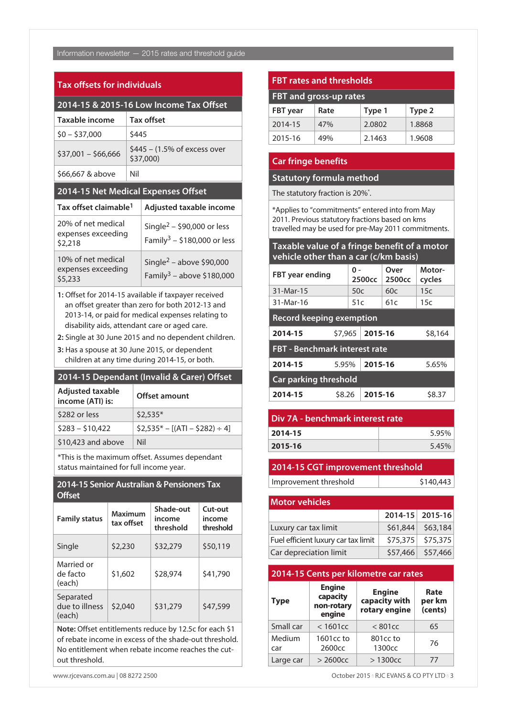# Information newsletter — 2015 rates and threshold guide

# **Tax offsets for individuals**

| 2014-15 & 2015-16 Low Income Tax Offset             |     |                                                                                   |  |  |
|-----------------------------------------------------|-----|-----------------------------------------------------------------------------------|--|--|
| <b>Taxable income</b>                               |     | Tax offset                                                                        |  |  |
| $$0 - $37,000$                                      |     | \$445                                                                             |  |  |
| $$37,001 - $66,666$                                 |     | $$445 - (1.5\% \text{ of excess over})$<br>\$37,000)                              |  |  |
| \$66,667 & above                                    | Nil |                                                                                   |  |  |
| 2014-15 Net Medical Expenses Offset                 |     |                                                                                   |  |  |
| Tax offset claimable <sup>1</sup>                   |     | Adjusted taxable income                                                           |  |  |
| 20% of net medical<br>expenses exceeding<br>\$2,218 |     | Single <sup>2</sup> – \$90,000 or less<br>Family <sup>3</sup> – \$180,000 or less |  |  |
| 10% of net medical<br>expenses exceeding<br>\$5,233 |     | Single <sup>2</sup> – above \$90,000<br>Family <sup>3</sup> – above \$180,000     |  |  |

**1:** Offset for 2014-15 available if taxpayer received an offset greater than zero for both 2012-13 and 2013-14, or paid for medical expenses relating to disability aids, attendant care or aged care.

**2:** Single at 30 June 2015 and no dependent children.

**3:** Has a spouse at 30 June 2015, or dependent children at any time during 2014-15, or both.

#### **2014-15 Dependant (Invalid & Carer) Offset**

| <b>Adjusted taxable</b><br>income (ATI) is: | <b>Offset amount</b>               |
|---------------------------------------------|------------------------------------|
| \$282 or less                               | $$2,535*$                          |
| $$283 - $10,422$                            | $$2,535^* - [(ATI - $282) \div 4]$ |
| \$10,423 and above                          | Nil                                |

\*This is the maximum offset. Assumes dependant status maintained for full income year.

# **2014-15 Senior Australian & Pensioners Tax Offset**

| <b>Family status</b>                  | Maximum<br>tax offset | Shade-out<br>income<br>threshold | Cut-out<br>income<br>threshold |
|---------------------------------------|-----------------------|----------------------------------|--------------------------------|
| Single                                | \$2,230               | \$32,279                         | \$50,119                       |
| Married or<br>de facto<br>(each)      | \$1,602               | \$28,974                         | \$41,790                       |
| Separated<br>due to illness<br>(each) | \$2,040               | \$31,279                         | \$47,599                       |

**Note:** Offset entitlements reduce by 12.5c for each \$1 of rebate income in excess of the shade-out threshold. No entitlement when rebate income reaches the cutout threshold.

# **FBT rates and thresholds**

| FBT and gross-up rates |      |        |        |  |
|------------------------|------|--------|--------|--|
| <b>FBT</b> year        | Rate | Type 1 | Type 2 |  |
| 2014-15                | 47%  | 2.0802 | 1.8868 |  |
| 2015-16                | 49%  | 2.1463 | 1.9608 |  |

# **Car fringe benefits**

# **Statutory formula method**

The statutory fraction is 20%\*.

\*Applies to "commitments" entered into from May 2011. Previous statutory fractions based on kms travelled may be used for pre-May 2011 commitments.

| Taxable value of a fringe benefit of a motor |  |  |
|----------------------------------------------|--|--|
| vehicle other than a car (c/km basis)        |  |  |

| <b>FBT</b> year ending               |     | Over<br>0 -<br>2500 <sub>cc</sub><br>2500 <sub>cc</sub> |     | Motor-<br>cycles |
|--------------------------------------|-----|---------------------------------------------------------|-----|------------------|
| 31-Mar-15                            | 50c |                                                         | 60c | 15c              |
| 31-Mar-16                            | 51c |                                                         | 61c | 15c              |
| <b>Record keeping exemption</b>      |     |                                                         |     |                  |
| 2014-15<br>\$7,965                   |     | 2015-16                                                 |     | \$8,164          |
| <b>FBT - Benchmark interest rate</b> |     |                                                         |     |                  |
| 2014-15<br>5.95%                     |     | 2015-16                                                 |     | 5.65%            |
| <b>Car parking threshold</b>         |     |                                                         |     |                  |
| \$8.26<br>2014-15                    |     | 2015-16                                                 |     | \$8.37           |

| Div 7A - benchmark interest rate |       |  |
|----------------------------------|-------|--|
| 2014-15                          | 5.95% |  |
| 2015-16                          | 5.45% |  |
|                                  |       |  |

# **2014-15 CGT improvement threshold**

Improvement threshold \$140,443

| <b>Motor vehicles</b>               |                    |
|-------------------------------------|--------------------|
|                                     | 2014-15 2015-16    |
| Luxury car tax limit                | $$61,844$ \$63,184 |
| Fuel efficient luxury car tax limit | \$75,375 \$75,375  |
| Car depreciation limit              | \$57,466 \$57,466  |

# **2014-15 Cents per kilometre car rates**

| <b>Type</b>   | <b>Engine</b><br>capacity<br>non-rotary<br>engine | <b>Engine</b><br>capacity with<br>rotary engine | Rate<br>per km<br>(cents) |
|---------------|---------------------------------------------------|-------------------------------------------------|---------------------------|
| Small car     | $<$ 1601 $cc$                                     | $< 801$ cc                                      | 65                        |
| Medium<br>car | 1601cc to<br>2600cc                               | 801cc to<br>1300cc                              | 76                        |
| Large car     | $>$ 2600 $cc$                                     | >1300 <sub>CC</sub>                             | 77                        |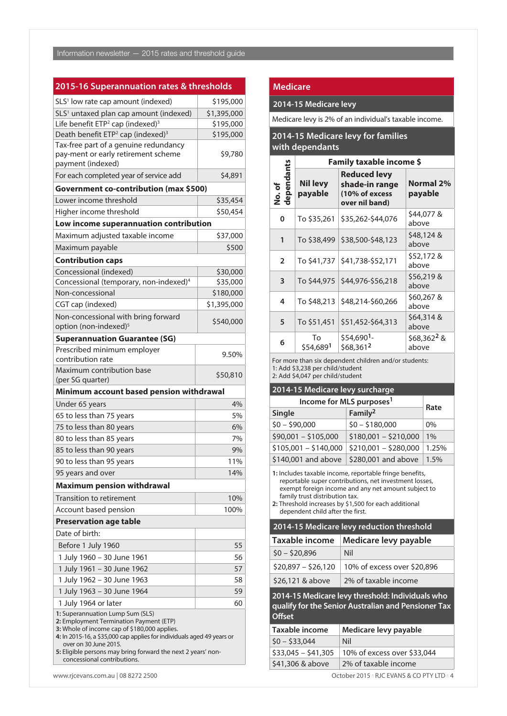# **2015-16 Superannuation rates & thresholds**

| SLS <sup>1</sup> low rate cap amount (indexed)                                                                                                                                                                                                                                                                                | \$195,000             |  |
|-------------------------------------------------------------------------------------------------------------------------------------------------------------------------------------------------------------------------------------------------------------------------------------------------------------------------------|-----------------------|--|
| SLS <sup>1</sup> untaxed plan cap amount (indexed)                                                                                                                                                                                                                                                                            | \$1,395,000           |  |
| Life benefit ETP <sup>2</sup> cap (indexed) <sup>3</sup>                                                                                                                                                                                                                                                                      | \$195,000             |  |
| Death benefit ETP <sup>2</sup> cap (indexed) <sup>3</sup>                                                                                                                                                                                                                                                                     | \$195,000             |  |
| Tax-free part of a genuine redundancy<br>pay-ment or early retirement scheme<br>payment (indexed)                                                                                                                                                                                                                             | \$9,780               |  |
| For each completed year of service add                                                                                                                                                                                                                                                                                        | \$4,891               |  |
| Government co-contribution (max \$500)                                                                                                                                                                                                                                                                                        |                       |  |
| Lower income threshold                                                                                                                                                                                                                                                                                                        | \$35,454              |  |
| Higher income threshold                                                                                                                                                                                                                                                                                                       | \$50,454              |  |
| Low income superannuation contribution                                                                                                                                                                                                                                                                                        |                       |  |
| Maximum adjusted taxable income                                                                                                                                                                                                                                                                                               | \$37,000              |  |
| Maximum payable                                                                                                                                                                                                                                                                                                               | \$500                 |  |
|                                                                                                                                                                                                                                                                                                                               |                       |  |
| <b>Contribution caps</b>                                                                                                                                                                                                                                                                                                      |                       |  |
| Concessional (indexed)                                                                                                                                                                                                                                                                                                        | \$30,000              |  |
| Concessional (temporary, non-indexed) <sup>4</sup><br>Non-concessional                                                                                                                                                                                                                                                        | \$35,000<br>\$180,000 |  |
|                                                                                                                                                                                                                                                                                                                               |                       |  |
| CGT cap (indexed)                                                                                                                                                                                                                                                                                                             | \$1,395,000           |  |
| Non-concessional with bring forward<br>option (non-indexed) <sup>5</sup>                                                                                                                                                                                                                                                      | \$540,000             |  |
| <b>Superannuation Guarantee (SG)</b>                                                                                                                                                                                                                                                                                          |                       |  |
| Prescribed minimum employer<br>contribution rate                                                                                                                                                                                                                                                                              | 9.50%                 |  |
| Maximum contribution base<br>(per SG quarter)                                                                                                                                                                                                                                                                                 | \$50,810              |  |
| Minimum account based pension withdrawal                                                                                                                                                                                                                                                                                      |                       |  |
| Under 65 years                                                                                                                                                                                                                                                                                                                | 4%                    |  |
| 65 to less than 75 years                                                                                                                                                                                                                                                                                                      | 5%                    |  |
| 75 to less than 80 years                                                                                                                                                                                                                                                                                                      | 6%                    |  |
| 80 to less than 85 years                                                                                                                                                                                                                                                                                                      | 7%                    |  |
| 85 to less than 90 years                                                                                                                                                                                                                                                                                                      | 9%                    |  |
| 90 to less than 95 years                                                                                                                                                                                                                                                                                                      | 11%                   |  |
| 95 years and over                                                                                                                                                                                                                                                                                                             | 14%                   |  |
| <b>Maximum pension withdrawal</b>                                                                                                                                                                                                                                                                                             |                       |  |
| <b>Transition to retirement</b>                                                                                                                                                                                                                                                                                               | 10%                   |  |
| Account based pension                                                                                                                                                                                                                                                                                                         | 100%                  |  |
| <b>Preservation age table</b>                                                                                                                                                                                                                                                                                                 |                       |  |
| Date of birth:                                                                                                                                                                                                                                                                                                                |                       |  |
|                                                                                                                                                                                                                                                                                                                               | 55                    |  |
| Before 1 July 1960                                                                                                                                                                                                                                                                                                            |                       |  |
| 1 July 1960 - 30 June 1961                                                                                                                                                                                                                                                                                                    | 56                    |  |
| 1 July 1961 - 30 June 1962                                                                                                                                                                                                                                                                                                    | 57                    |  |
| 1 July 1962 - 30 June 1963                                                                                                                                                                                                                                                                                                    | 58                    |  |
| 1 July 1963 - 30 June 1964                                                                                                                                                                                                                                                                                                    | 59                    |  |
| 1 July 1964 or later                                                                                                                                                                                                                                                                                                          | 60                    |  |
| 1: Superannuation Lump Sum (SLS)<br>2: Employment Termination Payment (ETP)<br>3: Whole of income cap of \$180,000 applies.<br>4: In 2015-16, a \$35,000 cap applies for individuals aged 49 years or<br>over on 30 June 2015.<br>5: Eligible persons may bring forward the next 2 years' non-<br>concessional contributions. |                       |  |

#### **Medicare**

#### **2014-15 Medicare levy**

Medicare levy is 2% of an individual's taxable income.

# **2014-15 Medicare levy for families with dependants**

|                                                                                                                               | Family taxable income \$   |                                                                           |                                  |
|-------------------------------------------------------------------------------------------------------------------------------|----------------------------|---------------------------------------------------------------------------|----------------------------------|
| dependants<br>No.of                                                                                                           | <b>Nil levy</b><br>payable | <b>Reduced levy</b><br>shade-in range<br>(10% of excess<br>over nil band) | <b>Normal 2%</b><br>payable      |
| 0                                                                                                                             | To \$35,261                | \$35,262-\$44,076                                                         | \$44,077 &<br>above              |
| 1                                                                                                                             | To \$38,499                | \$38,500-\$48,123                                                         | \$48,124 &<br>above              |
| $\overline{2}$                                                                                                                | To \$41,737                | \$41,738-\$52,171                                                         | \$52,172 &<br>above              |
| 3                                                                                                                             |                            | To \$44,975   \$44,976-\$56,218                                           | \$56,219 &<br>above              |
| 4                                                                                                                             | To \$48,213                | \$48,214-\$60,266                                                         | \$60,267 &<br>above              |
| 5                                                                                                                             | To \$51,451                | \$51,452-\$64,313                                                         | \$64,314 &<br>above              |
| 6                                                                                                                             | Tο<br>\$54,6891            | \$54,690 <sup>1</sup> -<br>\$68,3612                                      | \$68,362 <sup>2</sup> &<br>above |
| For more than six dependent children and/or students:<br>1: Add \$3,238 per child/student<br>2: Add \$4,047 per child/student |                            |                                                                           |                                  |

# **2014-15 Medicare levy surcharge**

| Income for MLS purposes <sup>1</sup> | Rate                  |       |  |
|--------------------------------------|-----------------------|-------|--|
| Single                               | Family <sup>2</sup>   |       |  |
| $$0 - $90,000$                       | $$0 - $180,000$       | $0\%$ |  |
| \$90,001 - \$105,000                 | $$180,001 - $210,000$ | 1%    |  |
| $$105,001 - $140,000$                | $$210,001 - $280,000$ | 1.25% |  |
| \$140,001 and above                  | \$280,001 and above   | 1.5%  |  |

**1:** Includes taxable income, reportable fringe benefits, reportable super contributions, net investment losses, exempt foreign income and any net amount subject to family trust distribution tax.

**2:** Threshold increases by \$1,500 for each additional dependent child after the first.

#### **2014-15 Medicare levy reduction threshold**

| Taxable income      | Medicare levy payable       |  |
|---------------------|-----------------------------|--|
| $$0 - $20.896$      | Nil                         |  |
| $$20.897 - $26.120$ | 10% of excess over \$20,896 |  |
| \$26,121 & above    | 2% of taxable income        |  |

**2014-15 Medicare levy threshold: Individuals who qualify for the Senior Australian and Pensioner Tax Offset** 

| Taxable income      | Medicare levy payable       |
|---------------------|-----------------------------|
| $$0 - $33.044$      | Nil                         |
| $$33.045 - $41.305$ | 10% of excess over \$33,044 |
| \$41,306 & above    | 2% of taxable income        |

www.rjcevans.com.au | 08 8272 2500 **October 2015 n RJC EVANS & CO PTY LTD** n 4